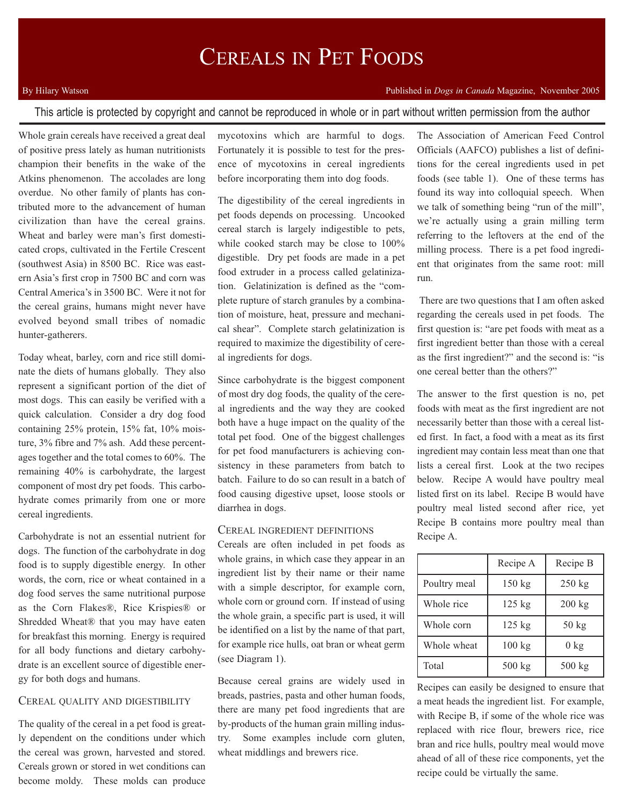# CEREALS IN PET FOODS

## Published in *Dogs in Canada* Magazine, November 2005

## By Hilary Watson

This article is protected by copyright and cannot be reproduced in whole or in part without written permission from the author

Whole grain cereals have received a great deal of positive press lately as human nutritionists champion their benefits in the wake of the Atkins phenomenon. The accolades are long overdue. No other family of plants has contributed more to the advancement of human civilization than have the cereal grains. Wheat and barley were man's first domesticated crops, cultivated in the Fertile Crescent (southwest Asia) in 8500 BC. Rice was eastern Asia's first crop in 7500 BC and corn was Central America's in 3500 BC. Were it not for the cereal grains, humans might never have evolved beyond small tribes of nomadic hunter-gatherers.

Today wheat, barley, corn and rice still dominate the diets of humans globally. They also represent a significant portion of the diet of most dogs. This can easily be verified with a quick calculation. Consider a dry dog food containing 25% protein, 15% fat, 10% moisture, 3% fibre and 7% ash. Add these percentages together and the total comes to 60%. The remaining 40% is carbohydrate, the largest component of most dry pet foods. This carbohydrate comes primarily from one or more cereal ingredients.

Carbohydrate is not an essential nutrient for dogs. The function of the carbohydrate in dog food is to supply digestible energy. In other words, the corn, rice or wheat contained in a dog food serves the same nutritional purpose as the Corn Flakes®, Rice Krispies® or Shredded Wheat® that you may have eaten for breakfast this morning. Energy is required for all body functions and dietary carbohydrate is an excellent source of digestible energy for both dogs and humans.

#### CEREAL QUALITY AND DIGESTIBILITY

The quality of the cereal in a pet food is greatly dependent on the conditions under which the cereal was grown, harvested and stored. Cereals grown or stored in wet conditions can become moldy. These molds can produce mycotoxins which are harmful to dogs. Fortunately it is possible to test for the presence of mycotoxins in cereal ingredients before incorporating them into dog foods.

The digestibility of the cereal ingredients in pet foods depends on processing. Uncooked cereal starch is largely indigestible to pets, while cooked starch may be close to 100% digestible. Dry pet foods are made in a pet food extruder in a process called gelatinization. Gelatinization is defined as the "complete rupture of starch granules by a combination of moisture, heat, pressure and mechanical shear". Complete starch gelatinization is required to maximize the digestibility of cereal ingredients for dogs.

Since carbohydrate is the biggest component of most dry dog foods, the quality of the cereal ingredients and the way they are cooked both have a huge impact on the quality of the total pet food. One of the biggest challenges for pet food manufacturers is achieving consistency in these parameters from batch to batch. Failure to do so can result in a batch of food causing digestive upset, loose stools or diarrhea in dogs.

## CEREAL INGREDIENT DEFINITIONS

Cereals are often included in pet foods as whole grains, in which case they appear in an ingredient list by their name or their name with a simple descriptor, for example corn, whole corn or ground corn. If instead of using the whole grain, a specific part is used, it will be identified on a list by the name of that part, for example rice hulls, oat bran or wheat germ (see Diagram 1).

Because cereal grains are widely used in breads, pastries, pasta and other human foods, there are many pet food ingredients that are by-products of the human grain milling industry. Some examples include corn gluten, wheat middlings and brewers rice.

The Association of American Feed Control Officials (AAFCO) publishes a list of definitions for the cereal ingredients used in pet foods (see table 1). One of these terms has found its way into colloquial speech. When we talk of something being "run of the mill", we're actually using a grain milling term referring to the leftovers at the end of the milling process. There is a pet food ingredient that originates from the same root: mill run.

There are two questions that I am often asked regarding the cereals used in pet foods. The first question is: "are pet foods with meat as a first ingredient better than those with a cereal as the first ingredient?" and the second is: "is one cereal better than the others?"

The answer to the first question is no, pet foods with meat as the first ingredient are not necessarily better than those with a cereal listed first. In fact, a food with a meat as its first ingredient may contain less meat than one that lists a cereal first. Look at the two recipes below. Recipe A would have poultry meal listed first on its label. Recipe B would have poultry meal listed second after rice, yet Recipe B contains more poultry meal than Recipe A.

|              | Recipe A | Recipe B        |
|--------------|----------|-----------------|
| Poultry meal | $150$ kg | $250$ kg        |
| Whole rice   | $125$ kg | $200$ kg        |
| Whole corn   | $125$ kg | $50 \text{ kg}$ |
| Whole wheat  | 100 kg   | $0 \text{ kg}$  |
| Total        | $500$ kg | $500$ kg        |

Recipes can easily be designed to ensure that a meat heads the ingredient list. For example, with Recipe B, if some of the whole rice was replaced with rice flour, brewers rice, rice bran and rice hulls, poultry meal would move ahead of all of these rice components, yet the recipe could be virtually the same.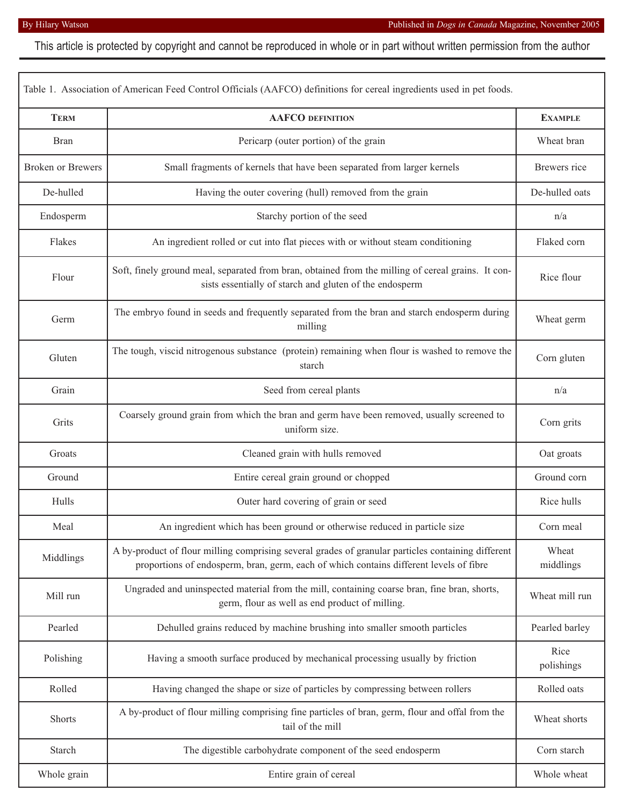This article is protected by copyright and cannot be reproduced in whole or in part without written permission from the author

| Table 1. Association of American Feed Control Officials (AAFCO) definitions for cereal ingredients used in pet foods. |                                                                                                                                                                                              |                    |  |
|-----------------------------------------------------------------------------------------------------------------------|----------------------------------------------------------------------------------------------------------------------------------------------------------------------------------------------|--------------------|--|
| <b>TERM</b>                                                                                                           | <b>AAFCO DEFINITION</b>                                                                                                                                                                      | <b>EXAMPLE</b>     |  |
| <b>Bran</b>                                                                                                           | Pericarp (outer portion) of the grain                                                                                                                                                        | Wheat bran         |  |
| <b>Broken or Brewers</b>                                                                                              | Small fragments of kernels that have been separated from larger kernels                                                                                                                      | Brewers rice       |  |
| De-hulled                                                                                                             | Having the outer covering (hull) removed from the grain                                                                                                                                      | De-hulled oats     |  |
| Endosperm                                                                                                             | Starchy portion of the seed                                                                                                                                                                  | n/a                |  |
| Flakes                                                                                                                | An ingredient rolled or cut into flat pieces with or without steam conditioning                                                                                                              | Flaked corn        |  |
| Flour                                                                                                                 | Soft, finely ground meal, separated from bran, obtained from the milling of cereal grains. It con-<br>sists essentially of starch and gluten of the endosperm                                | Rice flour         |  |
| Germ                                                                                                                  | The embryo found in seeds and frequently separated from the bran and starch endosperm during<br>milling                                                                                      | Wheat germ         |  |
| Gluten                                                                                                                | The tough, viscid nitrogenous substance (protein) remaining when flour is washed to remove the<br>starch                                                                                     | Corn gluten        |  |
| Grain                                                                                                                 | Seed from cereal plants                                                                                                                                                                      | n/a                |  |
| Grits                                                                                                                 | Coarsely ground grain from which the bran and germ have been removed, usually screened to<br>uniform size.                                                                                   | Corn grits         |  |
| Groats                                                                                                                | Cleaned grain with hulls removed                                                                                                                                                             | Oat groats         |  |
| Ground                                                                                                                | Entire cereal grain ground or chopped                                                                                                                                                        | Ground corn        |  |
| Hulls                                                                                                                 | Outer hard covering of grain or seed                                                                                                                                                         | Rice hulls         |  |
| Meal                                                                                                                  | An ingredient which has been ground or otherwise reduced in particle size                                                                                                                    | Corn meal          |  |
| Middlings                                                                                                             | A by-product of flour milling comprising several grades of granular particles containing different<br>proportions of endosperm, bran, germ, each of which contains different levels of fibre | Wheat<br>middlings |  |
| Mill run                                                                                                              | Ungraded and uninspected material from the mill, containing coarse bran, fine bran, shorts,<br>germ, flour as well as end product of milling.                                                | Wheat mill run     |  |
| Pearled                                                                                                               | Dehulled grains reduced by machine brushing into smaller smooth particles                                                                                                                    | Pearled barley     |  |
| Polishing                                                                                                             | Having a smooth surface produced by mechanical processing usually by friction                                                                                                                | Rice<br>polishings |  |
| Rolled                                                                                                                | Having changed the shape or size of particles by compressing between rollers                                                                                                                 | Rolled oats        |  |
| Shorts                                                                                                                | A by-product of flour milling comprising fine particles of bran, germ, flour and offal from the<br>tail of the mill                                                                          | Wheat shorts       |  |
| Starch                                                                                                                | The digestible carbohydrate component of the seed endosperm                                                                                                                                  | Corn starch        |  |
| Whole grain                                                                                                           | Entire grain of cereal                                                                                                                                                                       | Whole wheat        |  |